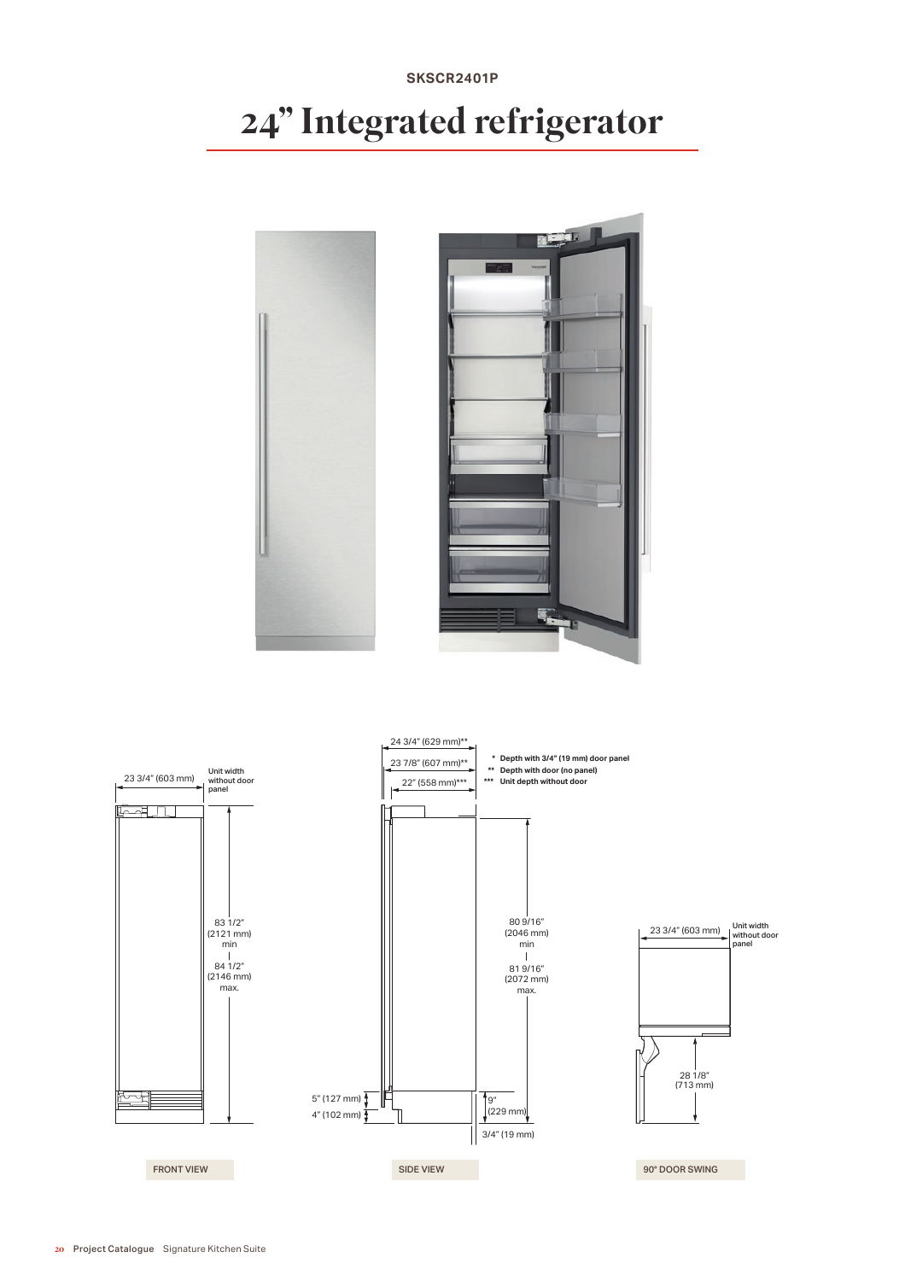### 20 Project Catalogue Signature Kitchen Suite





# 24" Integrated refrigerator

**SKSCR2401P**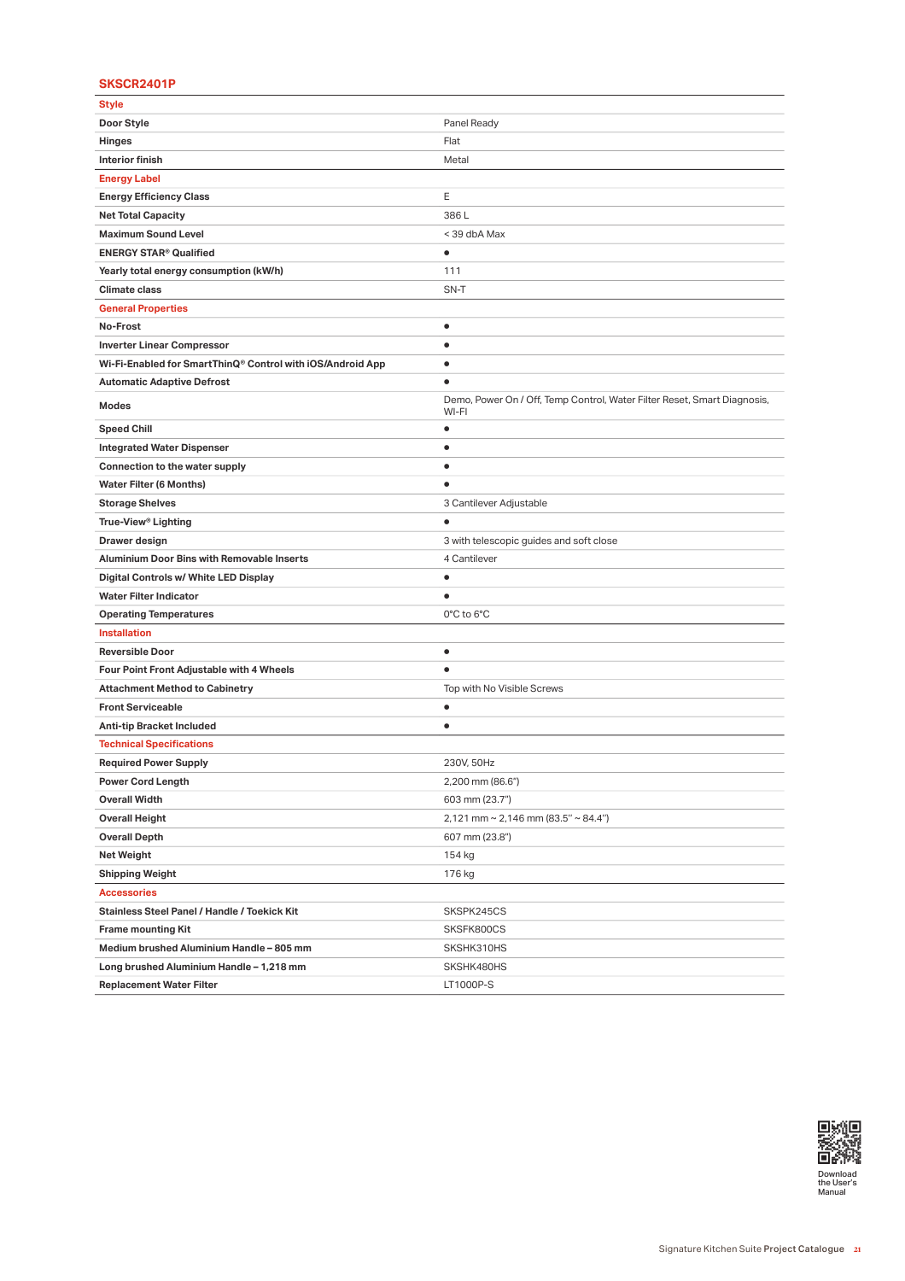# **SKSCR2401P**

| Style                                                      |                                                                                   |
|------------------------------------------------------------|-----------------------------------------------------------------------------------|
| Door Style                                                 | Panel Ready                                                                       |
| Hinges                                                     | Flat                                                                              |
| <b>Interior finish</b>                                     | Metal                                                                             |
| <b>Energy Label</b>                                        |                                                                                   |
| <b>Energy Efficiency Class</b>                             | Е                                                                                 |
| <b>Net Total Capacity</b>                                  | 386L                                                                              |
| <b>Maximum Sound Level</b>                                 | < 39 dbA Max                                                                      |
| <b>ENERGY STAR<sup>®</sup> Qualified</b>                   | $\bullet$                                                                         |
| Yearly total energy consumption (kW/h)                     | 111                                                                               |
| <b>Climate class</b>                                       | SN-T                                                                              |
| <b>General Properties</b>                                  |                                                                                   |
| No-Frost                                                   | ٠                                                                                 |
| <b>Inverter Linear Compressor</b>                          | $\bullet$                                                                         |
| Wi-Fi-Enabled for SmartThinQ® Control with iOS/Android App | $\bullet$                                                                         |
| <b>Automatic Adaptive Defrost</b>                          | $\bullet$                                                                         |
| Modes                                                      | Demo, Power On / Off, Temp Control, Water Filter Reset, Smart Diagnosis,<br>WI-FI |
| <b>Speed Chill</b>                                         | $\bullet$                                                                         |
| <b>Integrated Water Dispenser</b>                          | $\bullet$                                                                         |
| Connection to the water supply                             | $\bullet$                                                                         |
| <b>Water Filter (6 Months)</b>                             | $\bullet$                                                                         |
| <b>Storage Shelves</b>                                     | 3 Cantilever Adjustable                                                           |
| True-View <sup>®</sup> Lighting                            | $\bullet$                                                                         |
| Drawer design                                              | 3 with telescopic guides and soft close                                           |
| <b>Aluminium Door Bins with Removable Inserts</b>          | 4 Cantilever                                                                      |
| Digital Controls w/ White LED Display                      | ٠                                                                                 |
| <b>Water Filter Indicator</b>                              | $\bullet$                                                                         |
| <b>Operating Temperatures</b>                              | 0°C to 6°C                                                                        |
| <b>Installation</b>                                        |                                                                                   |
| <b>Reversible Door</b>                                     | $\bullet$                                                                         |
| Four Point Front Adjustable with 4 Wheels                  | $\bullet$                                                                         |
| <b>Attachment Method to Cabinetry</b>                      | Top with No Visible Screws                                                        |
| <b>Front Serviceable</b>                                   | $\bullet$                                                                         |
| Anti-tip Bracket Included                                  | $\bullet$                                                                         |
| <b>Technical Specifications</b>                            |                                                                                   |
| <b>Required Power Supply</b>                               | 230V, 50Hz                                                                        |
| <b>Power Cord Length</b>                                   | 2,200 mm (86.6")                                                                  |
| <b>Overall Width</b>                                       | 603 mm (23.7")                                                                    |
| <b>Overall Height</b>                                      | $2,121$ mm ~ 2,146 mm (83.5" ~ 84.4")                                             |
| <b>Overall Depth</b>                                       | 607 mm (23.8")                                                                    |
| Net Weight                                                 | 154 kg                                                                            |
| <b>Shipping Weight</b>                                     | 176 kg                                                                            |
| <b>Accessories</b>                                         |                                                                                   |
| Stainless Steel Panel / Handle / Toekick Kit               | SKSPK245CS                                                                        |
| <b>Frame mounting Kit</b>                                  | SKSFK800CS                                                                        |
| Medium brushed Aluminium Handle - 805 mm                   | SKSHK310HS                                                                        |
| Long brushed Aluminium Handle - 1,218 mm                   | SKSHK480HS                                                                        |
| <b>Replacement Water Filter</b>                            | LT1000P-S                                                                         |

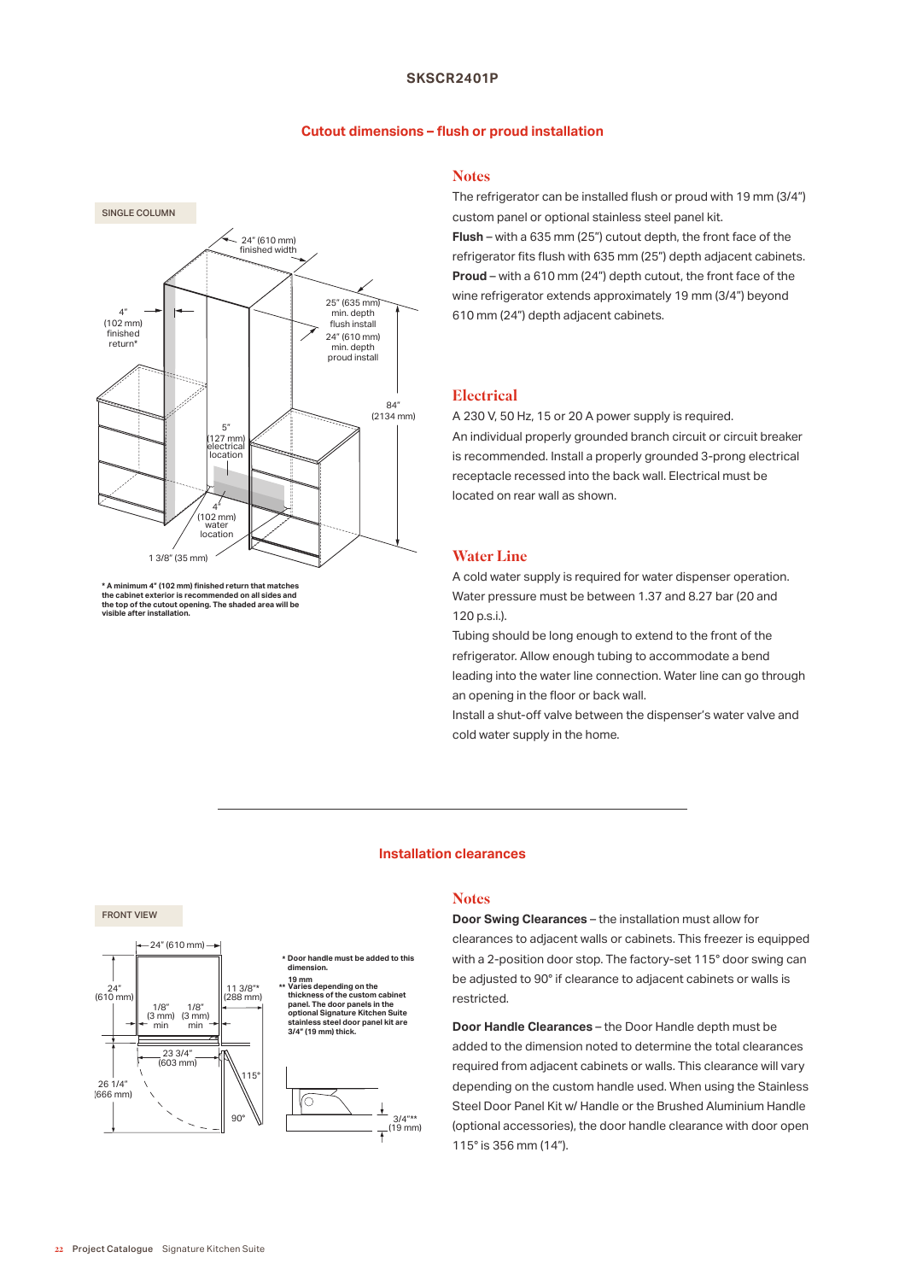# **SKSCR2401P**

## **Cutout dimensions – fush or proud installation**



<sup>\*</sup> A minimum 4" (102 mm) finished return that matches **the cabinet exterior is recommended on all sides and the top of the cutout opening. The shaded area will be visible after installation.**

# **Notes**

The refrigerator can be installed fush or proud with 19 mm (3/4") custom panel or optional stainless steel panel kit. **Flush** – with a 635 mm (25") cutout depth, the front face of the refrigerator fits flush with 635 mm (25") depth adjacent cabinets. **Proud** – with a 610 mm (24") depth cutout, the front face of the wine refrigerator extends approximately 19 mm (3/4") beyond 610 mm (24") depth adjacent cabinets.

# **Electrical**

A 230 V, 50 Hz, 15 or 20 A power supply is required. An individual properly grounded branch circuit or circuit breaker is recommended. Install a properly grounded 3-prong electrical receptacle recessed into the back wall. Electrical must be located on rear wall as shown.

# Water Line

A cold water supply is required for water dispenser operation. Water pressure must be between 1.37 and 8.27 bar (20 and 120 p.s.i.).

Tubing should be long enough to extend to the front of the refrigerator. Allow enough tubing to accommodate a bend leading into the water line connection. Water line can go through an opening in the floor or back wall.

Install a shut-off valve between the dispenser's water valve and cold water supply in the home.

### **Installation clearances**

**Notes** 

3/4"\*\* (19 mm)

**Door Swing Clearances** – the installation must allow for clearances to adjacent walls or cabinets. This freezer is equipped with a 2-position door stop. The factory-set 115° door swing can be adjusted to 90° if clearance to adjacent cabinets or walls is restricted.

**Door Handle Clearances** – the Door Handle depth must be added to the dimension noted to determine the total clearances required from adjacent cabinets or walls. This clearance will vary depending on the custom handle used. When using the Stainless Steel Door Panel Kit w/ Handle or the Brushed Aluminium Handle (optional accessories), the door handle clearance with door open 115° is 356 mm (14").

# FRONT VIEW